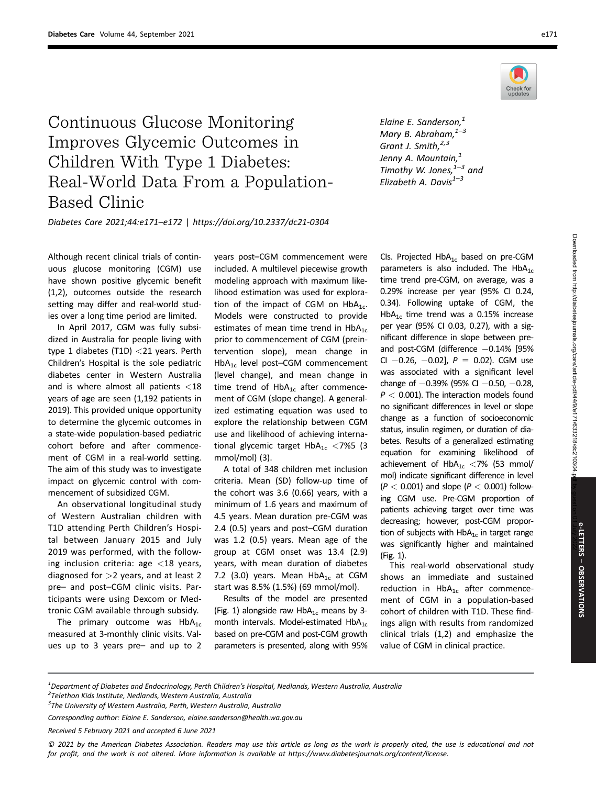

## Continuous Glucose Monitoring Improves Glycemic Outcomes in Children With Type 1 Diabetes: Real-World Data From a Population-Based Clinic

Elaine E. Sanderson,<sup>1</sup> Mary B. Abraham, $1-3$ Grant J. Smith,<sup>2,3</sup> Jenny A. Mountain,<sup>1</sup> Timothy W. Jones, $1-3$  and Elizabeth A. Davis $^{1-3}$ 

Diabetes Care 2021;44:e171–e172 | https://doi.org/10.2337/dc21-0304

Although recent clinical trials of continuous glucose monitoring (CGM) use have shown positive glycemic benefit (1,2), outcomes outside the research setting may differ and real-world studies over a long time period are limited.

In April 2017, CGM was fully subsidized in Australia for people living with type 1 diabetes (T1D) <21 years. Perth Children's Hospital is the sole pediatric diabetes center in Western Australia and is where almost all patients <18 years of age are seen (1,192 patients in 2019). This provided unique opportunity to determine the glycemic outcomes in a state-wide population-based pediatric cohort before and after commencement of CGM in a real-world setting. The aim of this study was to investigate impact on glycemic control with commencement of subsidized CGM.

An observational longitudinal study of Western Australian children with T1D attending Perth Children's Hospital between January 2015 and July 2019 was performed, with the following inclusion criteria: age <18 years, diagnosed for  $>2$  years, and at least 2 pre– and post–CGM clinic visits. Participants were using Dexcom or Medtronic CGM available through subsidy.

The primary outcome was  $HbA_{1c}$ measured at 3-monthly clinic visits. Values up to 3 years pre– and up to 2 years post–CGM commencement were included. A multilevel piecewise growth modeling approach with maximum likelihood estimation was used for exploration of the impact of CGM on  $HbA_{1c}$ . Models were constructed to provide estimates of mean time trend in  $HbA_{1c}$ prior to commencement of CGM (preintervention slope), mean change in HbA<sub>1c</sub> level post–CGM commencement (level change), and mean change in time trend of  $HbA_{1c}$  after commencement of CGM (slope change). A generalized estimating equation was used to explore the relationship between CGM use and likelihood of achieving international glycemic target  $HbA_{1c} < 7%5$  (3 mmol/mol) (3).

A total of 348 children met inclusion criteria. Mean (SD) follow-up time of the cohort was 3.6 (0.66) years, with a minimum of 1.6 years and maximum of 4.5 years. Mean duration pre-CGM was 2.4 (0.5) years and post–CGM duration was 1.2 (0.5) years. Mean age of the group at CGM onset was 13.4 (2.9) years, with mean duration of diabetes 7.2 (3.0) years. Mean  $HbA_{1c}$  at CGM start was 8.5% (1.5%) (69 mmol/mol).

Results of the model are presented (Fig. 1) alongside raw  $HbA_{1c}$  means by 3month intervals. Model-estimated  $HbA_{1c}$ based on pre-CGM and post-CGM growth parameters is presented, along with 95% CIs. Projected  $HbA_{1c}$  based on pre-CGM parameters is also included. The  $HbA_{1c}$ time trend pre-CGM, on average, was a 0.29% increase per year (95% CI 0.24, 0.34). Following uptake of CGM, the Hb $A_{1c}$  time trend was a 0.15% increase per year (95% CI 0.03, 0.27), with a significant difference in slope between preand post-CGM (difference  $-0.14\%$  [95% CI  $-0.26$ ,  $-0.02$ ],  $P = 0.02$ ). CGM use was associated with a significant level change of  $-0.39\%$  (95% CI  $-0.50$ ,  $-0.28$ ,  $P < 0.001$ ). The interaction models found no significant differences in level or slope change as a function of socioeconomic status, insulin regimen, or duration of diabetes. Results of a generalized estimating equation for examining likelihood of achievement of  $HbA_{1c}$  <7% (53 mmol/ mol) indicate significant difference in level  $(P < 0.001)$  and slope  $(P < 0.001)$  following CGM use. Pre-CGM proportion of patients achieving target over time was decreasing; however, post-CGM proportion of subjects with  $HbA_{1c}$  in target range was significantly higher and maintained (Fig. 1).

This real-world observational study shows an immediate and sustained reduction in  $HbA_{1c}$  after commencement of CGM in a population-based cohort of children with T1D. These findings align with results from randomized clinical trials (1,2) and emphasize the value of CGM in clinical practice.

Received 5 February 2021 and accepted 6 June 2021

© 2021 by the American Diabetes Association. Readers may use this article as long as the work is properly cited, the use is educational and not for profit, and the work is not altered. More information is available at https://www.diabetesjournals.org/content/license.

<sup>&</sup>lt;sup>1</sup>Department of Diabetes and Endocrinology, Perth Children's Hospital, Nedlands, Western Australia, Australia<br><sup>2</sup>Telethen Kids Institute, Nedlands, Western Australia, Australia

<sup>&</sup>lt;sup>2</sup>Telethon Kids Institute, Nedlands, Western Australia, Australia

 ${}^{3}$ The University of Western Australia, Perth, Western Australia, Australia

Corresponding author: Elaine E. Sanderson, [elaine.sanderson@health.wa.gov.au](mailto:elaine.sanderson@health.wa.gov.au)